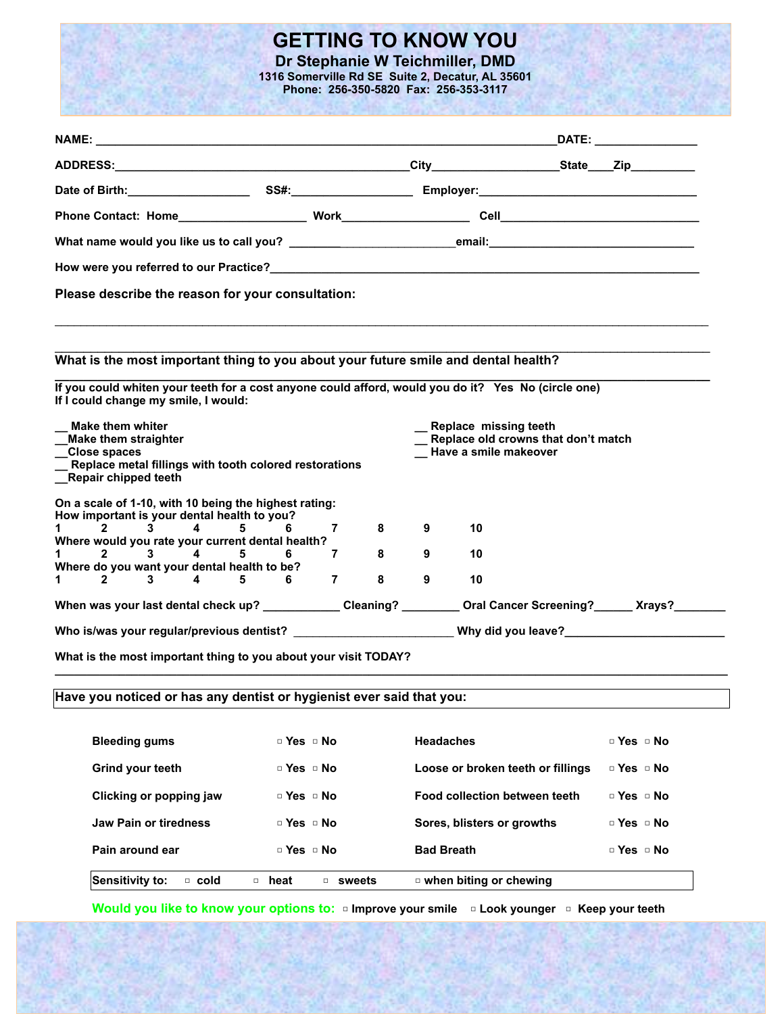## **GETTING TO KNOW YOU**

**Dr Stephanie W Teichmiller, DMD 1316 Somerville Rd SE Suite 2, Decatur, AL 35601 Phone: 256-350-5820 Fax: 256-353-3117**

|                                                                                                                                             |                      |                     |                                   |                                                              |  | DATE: the contract of the contract of the contract of the contract of the contract of the contract of the contract of the contract of the contract of the contract of the contract of the contract of the contract of the cont |  |
|---------------------------------------------------------------------------------------------------------------------------------------------|----------------------|---------------------|-----------------------------------|--------------------------------------------------------------|--|--------------------------------------------------------------------------------------------------------------------------------------------------------------------------------------------------------------------------------|--|
|                                                                                                                                             |                      |                     |                                   |                                                              |  |                                                                                                                                                                                                                                |  |
|                                                                                                                                             |                      |                     |                                   |                                                              |  |                                                                                                                                                                                                                                |  |
|                                                                                                                                             |                      |                     |                                   |                                                              |  |                                                                                                                                                                                                                                |  |
| What name would you like us to call you? __________________________email:________________________________                                   |                      |                     |                                   |                                                              |  |                                                                                                                                                                                                                                |  |
|                                                                                                                                             |                      |                     |                                   |                                                              |  |                                                                                                                                                                                                                                |  |
| Please describe the reason for your consultation:                                                                                           |                      |                     |                                   |                                                              |  |                                                                                                                                                                                                                                |  |
|                                                                                                                                             |                      |                     |                                   |                                                              |  |                                                                                                                                                                                                                                |  |
| What is the most important thing to you about your future smile and dental health?                                                          |                      |                     |                                   |                                                              |  |                                                                                                                                                                                                                                |  |
|                                                                                                                                             |                      |                     |                                   |                                                              |  |                                                                                                                                                                                                                                |  |
| If you could whiten your teeth for a cost anyone could afford, would you do it? Yes No (circle one)<br>If I could change my smile, I would: |                      |                     |                                   |                                                              |  |                                                                                                                                                                                                                                |  |
| <b>Make them whiter</b>                                                                                                                     |                      |                     |                                   | Replace missing teeth<br>Replace old crowns that don't match |  |                                                                                                                                                                                                                                |  |
| <b>Make them straighter</b>                                                                                                                 |                      |                     |                                   | Have a smile makeover                                        |  |                                                                                                                                                                                                                                |  |
| __Close spaces<br>__ Replace metal fillings with tooth colored restorations<br><b>Repair chipped teeth</b>                                  |                      |                     |                                   |                                                              |  |                                                                                                                                                                                                                                |  |
| On a scale of 1-10, with 10 being the highest rating:                                                                                       |                      |                     |                                   |                                                              |  |                                                                                                                                                                                                                                |  |
| How important is your dental health to you?                                                                                                 |                      |                     |                                   |                                                              |  |                                                                                                                                                                                                                                |  |
| $3 \quad 4$<br>1 $\overline{2}$<br>Where would you rate your current dental health?                                                         | $5^{\circ}$<br>$6 -$ | 8<br>7              | 9                                 | 10                                                           |  |                                                                                                                                                                                                                                |  |
| 1 $2$<br>$3 \qquad 4 \qquad 5$                                                                                                              | 6.                   | 8<br>7              | 9                                 | 10                                                           |  |                                                                                                                                                                                                                                |  |
| Where do you want your dental health to be?<br>$3^{\circ}$<br>$\overline{4}$<br>1 $\overline{2}$                                            | 5.<br>6              | 8<br>$\overline{7}$ | 9                                 | 10                                                           |  |                                                                                                                                                                                                                                |  |
| When was your last dental check up? ____________Cleaning? _________ Oral Cancer Screening? ______ Xrays?______                              |                      |                     |                                   |                                                              |  |                                                                                                                                                                                                                                |  |
|                                                                                                                                             |                      |                     |                                   |                                                              |  |                                                                                                                                                                                                                                |  |
| What is the most important thing to you about your visit TODAY?                                                                             |                      |                     |                                   |                                                              |  |                                                                                                                                                                                                                                |  |
|                                                                                                                                             |                      |                     |                                   |                                                              |  |                                                                                                                                                                                                                                |  |
| Have you noticed or has any dentist or hygienist ever said that you:                                                                        |                      |                     |                                   |                                                              |  |                                                                                                                                                                                                                                |  |
| <b>Bleeding gums</b>                                                                                                                        | □ Yes □ No           |                     | <b>Headaches</b>                  |                                                              |  | $\Box$ Yes $\Box$ No                                                                                                                                                                                                           |  |
| Grind your teeth                                                                                                                            | □ Yes □ No           |                     | Loose or broken teeth or fillings |                                                              |  | $\Box$ Yes $\Box$ No                                                                                                                                                                                                           |  |
| Clicking or popping jaw                                                                                                                     | $\Box$ Yes $\Box$ No |                     |                                   | Food collection between teeth                                |  | □ Yes □ No                                                                                                                                                                                                                     |  |
| <b>Jaw Pain or tiredness</b>                                                                                                                | $\Box$ Yes $\Box$ No |                     |                                   | Sores, blisters or growths                                   |  | $\Box$ Yes $\Box$ No                                                                                                                                                                                                           |  |
| Pain around ear                                                                                                                             | $\Box$ Yes $\Box$ No |                     | <b>Bad Breath</b>                 |                                                              |  | $\Box$ Yes $\Box$ No                                                                                                                                                                                                           |  |
| <b>Sensitivity to:</b><br>□ cold                                                                                                            | □ heat               | $\square$ sweets    |                                   | ¤ when biting or chewing                                     |  |                                                                                                                                                                                                                                |  |
|                                                                                                                                             |                      |                     |                                   |                                                              |  |                                                                                                                                                                                                                                |  |

**Would you like to know your options to:** □ **Improve your smile** □ **Look younger** □ **Keep your teeth** 

75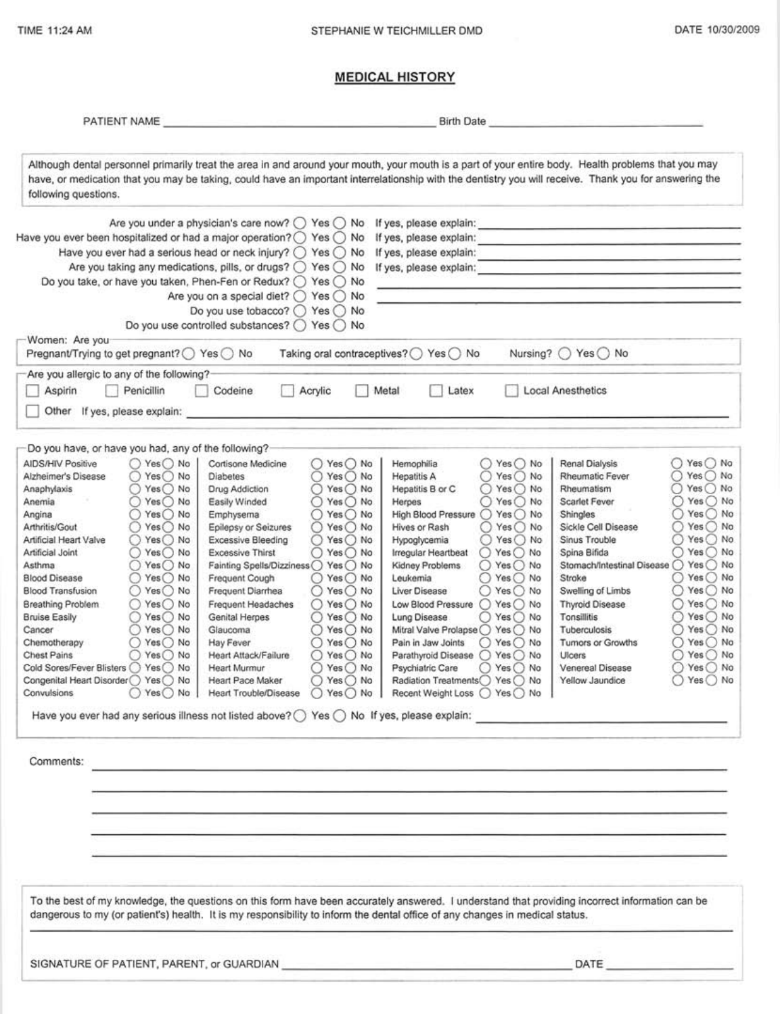DATE 10/30/2009

## **MEDICAL HISTORY**

| PATIENT NAME                                                                                                                                                                                                                                                                                                                                                                                                                                                                                                                                                                                                                                                                                                                                                                                           |                                                                                                                                                                                                                                                                                                                                                                                                                                                                                                                                                                                                                                                                                                                                                                                                         | <b>Birth Date</b>                                                                                                                                                                                                                                                                                                                                                                                                                                                                                                                                                                                                                                                                  |                                                                                                                                                                                                                                                                                                                                                                                                                                                                                                                                                                                                                                                                                   |  |  |
|--------------------------------------------------------------------------------------------------------------------------------------------------------------------------------------------------------------------------------------------------------------------------------------------------------------------------------------------------------------------------------------------------------------------------------------------------------------------------------------------------------------------------------------------------------------------------------------------------------------------------------------------------------------------------------------------------------------------------------------------------------------------------------------------------------|---------------------------------------------------------------------------------------------------------------------------------------------------------------------------------------------------------------------------------------------------------------------------------------------------------------------------------------------------------------------------------------------------------------------------------------------------------------------------------------------------------------------------------------------------------------------------------------------------------------------------------------------------------------------------------------------------------------------------------------------------------------------------------------------------------|------------------------------------------------------------------------------------------------------------------------------------------------------------------------------------------------------------------------------------------------------------------------------------------------------------------------------------------------------------------------------------------------------------------------------------------------------------------------------------------------------------------------------------------------------------------------------------------------------------------------------------------------------------------------------------|-----------------------------------------------------------------------------------------------------------------------------------------------------------------------------------------------------------------------------------------------------------------------------------------------------------------------------------------------------------------------------------------------------------------------------------------------------------------------------------------------------------------------------------------------------------------------------------------------------------------------------------------------------------------------------------|--|--|
| Although dental personnel primarily treat the area in and around your mouth, your mouth is a part of your entire body. Health problems that you may<br>have, or medication that you may be taking, could have an important interrelationship with the dentistry you will receive. Thank you for answering the<br>following questions.                                                                                                                                                                                                                                                                                                                                                                                                                                                                  |                                                                                                                                                                                                                                                                                                                                                                                                                                                                                                                                                                                                                                                                                                                                                                                                         |                                                                                                                                                                                                                                                                                                                                                                                                                                                                                                                                                                                                                                                                                    |                                                                                                                                                                                                                                                                                                                                                                                                                                                                                                                                                                                                                                                                                   |  |  |
|                                                                                                                                                                                                                                                                                                                                                                                                                                                                                                                                                                                                                                                                                                                                                                                                        | Are you under a physician's care now? $\bigcirc$ Yes $\bigcirc$ No If yes, please explain:<br>Have you ever been hospitalized or had a major operation? $\bigcirc$ Yes $\bigcirc$ No If yes, please explain:<br>Have you ever had a serious head or neck injury? $\bigcirc$ Yes $\bigcirc$ No If yes, please explain:<br>Are you taking any medications, pills, or drugs? $\bigcirc$ Yes $\bigcirc$ No If yes, please explain:<br>Do you take, or have you taken, Phen-Fen or Redux? ○ Yes ○ No<br>Are you on a special diet? ○ Yes ○ No<br>Do you use tobacco? ○ Yes ○ No<br>Do you use controlled substances? O Yes O No                                                                                                                                                                              |                                                                                                                                                                                                                                                                                                                                                                                                                                                                                                                                                                                                                                                                                    | the contract of the contract of the contract of the contract of the contract of<br><b>Charles and more of the control and pro-</b><br><u> 1980 - Andrea Barbara, Amerikaansk politiker (</u>                                                                                                                                                                                                                                                                                                                                                                                                                                                                                      |  |  |
| Women: Are you<br>Pregnant/Trying to get pregnant? ○ Yes ○ No                                                                                                                                                                                                                                                                                                                                                                                                                                                                                                                                                                                                                                                                                                                                          |                                                                                                                                                                                                                                                                                                                                                                                                                                                                                                                                                                                                                                                                                                                                                                                                         | Taking oral contraceptives? ◯ Yes ◯ No                                                                                                                                                                                                                                                                                                                                                                                                                                                                                                                                                                                                                                             | Nursing? ○ Yes ○ No                                                                                                                                                                                                                                                                                                                                                                                                                                                                                                                                                                                                                                                               |  |  |
| Are you allergic to any of the following?<br>Aspirin<br>Penicillin<br>Other If yes, please explain:                                                                                                                                                                                                                                                                                                                                                                                                                                                                                                                                                                                                                                                                                                    | Acrylic<br>Codeine                                                                                                                                                                                                                                                                                                                                                                                                                                                                                                                                                                                                                                                                                                                                                                                      | Metal<br>Latex                                                                                                                                                                                                                                                                                                                                                                                                                                                                                                                                                                                                                                                                     | Local Anesthetics                                                                                                                                                                                                                                                                                                                                                                                                                                                                                                                                                                                                                                                                 |  |  |
| Do you have, or have you had, any of the following?<br><b>AIDS/HIV Positive</b><br>$O$ Yes $O$ No<br>$\bigcirc$ Yes $\bigcirc$ No<br>Alzheimer's Disease<br>$\bigcirc$ Yes $\bigcirc$ No<br>Anaphylaxis<br>$O$ Yes $O$ No<br>Anemia<br>$\bigcirc$ Yes $\bigcirc$ No<br>Angina<br>Yes() No<br>Arthritis/Gout<br>0<br>Yes() No<br>O<br>Artificial Heart Valve<br>Artificial Joint<br>$()$ Yes $()$ No<br>○ Yes○ No<br>Asthma<br>Yes() No<br><b>Blood Disease</b><br>○<br><b>Blood Transfusion</b><br>$\bigcirc$ Yes $\bigcirc$ No<br>Breathing Problem<br>◯ Yes () No<br>○ Yes○ No<br><b>Bruise Easily</b><br>$Yes$ No<br>Cancer<br>$O$ Yes $O$ No<br>Chemotherapy<br><b>Chest Pains</b><br>○ Yes○ No<br>Cold Sores/Fever Blisters ( ) Yes ( ) No<br>Congenital Heart Disorder ○ Yes ○ No<br>Convulsions | ○ Yes ○ No<br>Cortisone Medicine<br>$O$ Yes $O$ No<br><b>Diabetes</b><br>$Yes$ No<br>Drug Addiction<br>Easily Winded<br>$Yes$ No<br>⊖<br>$\bigcirc$ Yes $\bigcirc$ No<br>Emphysema<br>Epilepsy or Seizures<br>Yes $\bigcirc$ No<br>O<br>$\bigcirc$ Yes $\bigcirc$ No<br>Excessive Bleeding<br><b>Excessive Thirst</b><br>○ Yes ○ No<br>Fainting Spells/Dizziness<br>$Yes$ No<br>Frequent Cough<br>$O$ Yes $O$ No.<br>Frequent Diarrhea<br>$()$ Yes $()$ No<br>$\bigcirc$ Yes $\bigcirc$ No<br>Frequent Headaches<br>Genital Herpes<br>$Yes \bigcirc$ No<br>Ω<br>Glaucoma<br>$Yes$ No<br>$Yes$ No<br>Hay Fever<br>O<br>Heart Attack/Failure<br>○ Yes ○ No<br>Heart Murmur<br>$Yes$ No<br>◯ Yes ◯ No<br>Heart Pace Maker<br>○ Yes ○ No   Heart Trouble/Disease ○ Yes ○ No   Recent Weight Loss ○ Yes ○ No | ○ Yes ○ No<br>Hemophilia<br><b>Hepatitis A</b><br>$\bigcirc$ Yes $\bigcirc$ No<br>$\bigcirc$ Yes $\bigcirc$ No<br>Hepatitis B or C<br>$O$ Yes $O$ No<br>Herpes<br>High Blood Pressure<br>$O$ Yes $O$ No<br>Hives or Rash<br>Yes() No<br>$\circ$<br>○ Yes ○ No<br>Hypoglycemia<br>$O$ Yes $O$ No<br>Irregular Heartbeat<br>$O$ Yes $O$ No<br>Kidney Problems<br>◯ Yes ◯ No<br>Leukemia<br>$()$ Yes $()$ No<br>Liver Disease<br>Low Blood Pressure<br>$O$ Yes $O$ No<br>Lung Disease<br>○ Yes ○ No<br>Mitral Valve Prolapse ○ Yes ○ No<br>$O$ Yes $O$ No<br>Pain in Jaw Joints<br>Parathyroid Disease ○ Yes ○ No<br>Psychiatric Care<br>○ Yes ○ No<br>Radiation Treatments◯ Yes ◯ No | $\bigcirc$ Yes $\bigcirc$ No<br>Renal Dialysis<br>$\bigcirc$ Yes $\bigcirc$ No<br>Rheumatic Fever<br>Yes() No<br>Rheumatism<br>○ Yes ○ No<br>Scarlet Fever<br>$()$ Yes $()$ No<br>Shingles<br>Yes() No<br>Sickle Cell Disease<br>O<br>Yes () No<br>⊖<br>Sinus Trouble<br>○ Yes ○ No<br>Spina Bifida<br>Stomach/Intestinal Disease ○ Yes ○ No<br>○ Yes ○ No<br>Stroke<br>○ Yes ○ No<br>Swelling of Limbs<br>$O$ Yes $O$ No<br><b>Thyroid Disease</b><br>Tonsillitis<br>◯ Yes ◯ No<br>$Yes$ No<br>Tuberculosis<br>⊖<br>$\bigcap$ Yes $\bigcap$ No<br>Tumors or Growths<br>$\bigcirc$ Yes $\bigcirc$ No<br>Ulcers<br>○ Yes ○ No<br>Venereal Disease<br>○ Yes ○ No<br>Yellow Jaundice |  |  |
| Comments:                                                                                                                                                                                                                                                                                                                                                                                                                                                                                                                                                                                                                                                                                                                                                                                              | <u> 1989 - Andrea Andrea Andrea Andrea Andrea Andrea Andrea Andrea Andrea Andrea Andrea Andrea Andrea Andrea Andr</u>                                                                                                                                                                                                                                                                                                                                                                                                                                                                                                                                                                                                                                                                                   |                                                                                                                                                                                                                                                                                                                                                                                                                                                                                                                                                                                                                                                                                    |                                                                                                                                                                                                                                                                                                                                                                                                                                                                                                                                                                                                                                                                                   |  |  |
|                                                                                                                                                                                                                                                                                                                                                                                                                                                                                                                                                                                                                                                                                                                                                                                                        | To the best of my knowledge, the questions on this form have been accurately answered. I understand that providing incorrect information can be<br>dangerous to my (or patient's) health. It is my responsibility to inform the dental office of any changes in medical status.                                                                                                                                                                                                                                                                                                                                                                                                                                                                                                                         |                                                                                                                                                                                                                                                                                                                                                                                                                                                                                                                                                                                                                                                                                    |                                                                                                                                                                                                                                                                                                                                                                                                                                                                                                                                                                                                                                                                                   |  |  |
|                                                                                                                                                                                                                                                                                                                                                                                                                                                                                                                                                                                                                                                                                                                                                                                                        |                                                                                                                                                                                                                                                                                                                                                                                                                                                                                                                                                                                                                                                                                                                                                                                                         |                                                                                                                                                                                                                                                                                                                                                                                                                                                                                                                                                                                                                                                                                    |                                                                                                                                                                                                                                                                                                                                                                                                                                                                                                                                                                                                                                                                                   |  |  |